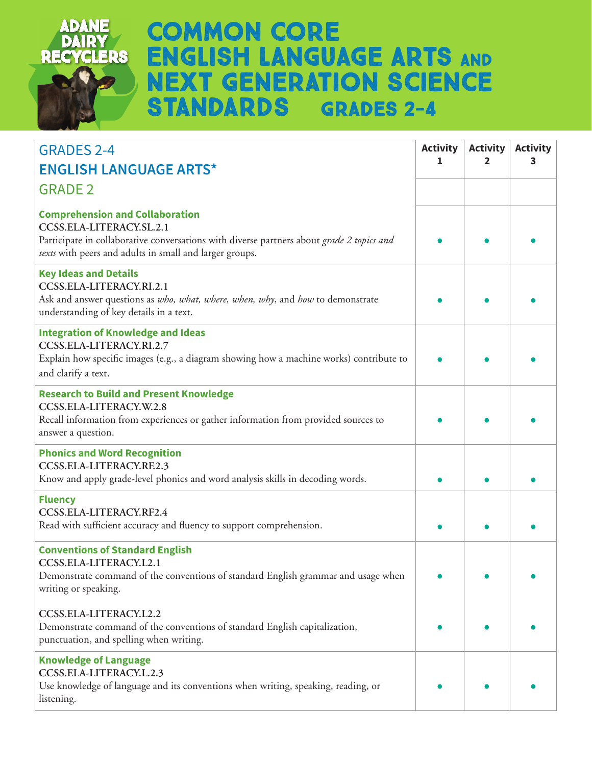

## **Common Core ENGLISH LANGUAGE ARTS AND Next Generation Science Standards Grades 2-4**

| <b>GRADES 2-4</b>                                                                                                                                                                                                          | <b>Activity</b> | <b>Activity</b> | <b>Activity</b> |
|----------------------------------------------------------------------------------------------------------------------------------------------------------------------------------------------------------------------------|-----------------|-----------------|-----------------|
| <b>ENGLISH LANGUAGE ARTS*</b>                                                                                                                                                                                              | 1               | 2               | 3               |
| <b>GRADE 2</b>                                                                                                                                                                                                             |                 |                 |                 |
| <b>Comprehension and Collaboration</b><br>CCSS.ELA-LITERACY.SL.2.1<br>Participate in collaborative conversations with diverse partners about grade 2 topics and<br>texts with peers and adults in small and larger groups. |                 |                 |                 |
| <b>Key Ideas and Details</b><br>CCSS.ELA-LITERACY.RI.2.1<br>Ask and answer questions as who, what, where, when, why, and how to demonstrate<br>understanding of key details in a text.                                     |                 |                 |                 |
| <b>Integration of Knowledge and Ideas</b><br>CCSS.ELA-LITERACY.RI.2.7<br>Explain how specific images (e.g., a diagram showing how a machine works) contribute to<br>and clarify a text.                                    |                 |                 |                 |
| <b>Research to Build and Present Knowledge</b><br>CCSS.ELA-LITERACY.W.2.8<br>Recall information from experiences or gather information from provided sources to<br>answer a question.                                      |                 |                 |                 |
| <b>Phonics and Word Recognition</b><br>CCSS.ELA-LITERACY.RF.2.3<br>Know and apply grade-level phonics and word analysis skills in decoding words.                                                                          |                 |                 |                 |
| <b>Fluency</b><br>CCSS.ELA-LITERACY.RF2.4<br>Read with sufficient accuracy and fluency to support comprehension.                                                                                                           |                 |                 |                 |
| <b>Conventions of Standard English</b><br>CCSS.ELA-LITERACY.L2.1<br>Demonstrate command of the conventions of standard English grammar and usage when<br>writing or speaking.                                              |                 |                 |                 |
| CCSS.ELA-LITERACY.L2.2<br>Demonstrate command of the conventions of standard English capitalization,<br>punctuation, and spelling when writing.                                                                            |                 |                 |                 |
| <b>Knowledge of Language</b><br>CCSS.ELA-LITERACY.L.2.3<br>Use knowledge of language and its conventions when writing, speaking, reading, or<br>listening.                                                                 |                 |                 |                 |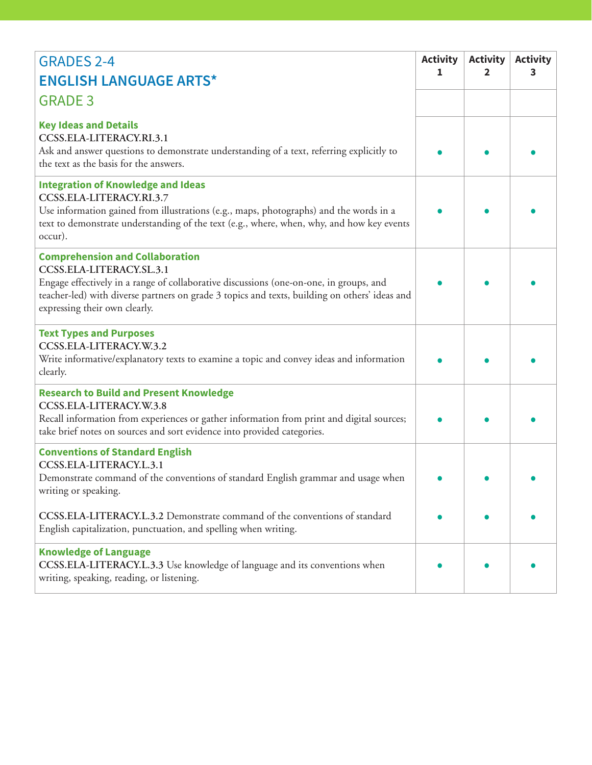| <b>GRADES 2-4</b><br><b>ENGLISH LANGUAGE ARTS*</b><br><b>GRADE 3</b>                                                                                                                                                                                                                           | <b>Activity</b><br>1 | <b>Activity</b><br>2 | <b>Activity</b><br>з |
|------------------------------------------------------------------------------------------------------------------------------------------------------------------------------------------------------------------------------------------------------------------------------------------------|----------------------|----------------------|----------------------|
| <b>Key Ideas and Details</b><br>CCSS.ELA-LITERACY.RI.3.1<br>Ask and answer questions to demonstrate understanding of a text, referring explicitly to<br>the text as the basis for the answers.                                                                                                 |                      |                      |                      |
| <b>Integration of Knowledge and Ideas</b><br>CCSS.ELA-LITERACY.RI.3.7<br>Use information gained from illustrations (e.g., maps, photographs) and the words in a<br>text to demonstrate understanding of the text (e.g., where, when, why, and how key events<br>occur).                        |                      |                      |                      |
| <b>Comprehension and Collaboration</b><br>CCSS.ELA-LITERACY.SL.3.1<br>Engage effectively in a range of collaborative discussions (one-on-one, in groups, and<br>teacher-led) with diverse partners on grade 3 topics and texts, building on others' ideas and<br>expressing their own clearly. |                      |                      |                      |
| <b>Text Types and Purposes</b><br>CCSS.ELA-LITERACY.W.3.2<br>Write informative/explanatory texts to examine a topic and convey ideas and information<br>clearly.                                                                                                                               |                      |                      |                      |
| <b>Research to Build and Present Knowledge</b><br>CCSS.ELA-LITERACY.W.3.8<br>Recall information from experiences or gather information from print and digital sources;<br>take brief notes on sources and sort evidence into provided categories.                                              |                      |                      |                      |
| <b>Conventions of Standard English</b><br>CCSS.ELA-LITERACY.L.3.1<br>Demonstrate command of the conventions of standard English grammar and usage when<br>writing or speaking.                                                                                                                 |                      |                      |                      |
| CCSS.ELA-LITERACY.L.3.2 Demonstrate command of the conventions of standard<br>English capitalization, punctuation, and spelling when writing.                                                                                                                                                  |                      |                      |                      |
| <b>Knowledge of Language</b><br>CCSS.ELA-LITERACY.L.3.3 Use knowledge of language and its conventions when<br>writing, speaking, reading, or listening.                                                                                                                                        |                      |                      |                      |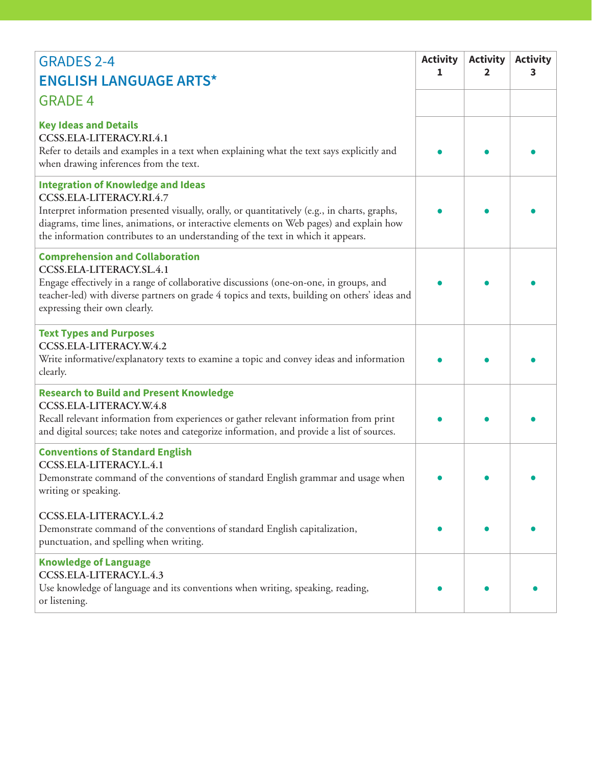| <b>GRADES 2-4</b>                                                                                                                                                                                                                                                                                                                                     | <b>Activity</b><br>1 | <b>Activity</b><br>$\mathbf{2}$ | <b>Activity</b><br>3 |
|-------------------------------------------------------------------------------------------------------------------------------------------------------------------------------------------------------------------------------------------------------------------------------------------------------------------------------------------------------|----------------------|---------------------------------|----------------------|
| <b>ENGLISH LANGUAGE ARTS*</b>                                                                                                                                                                                                                                                                                                                         |                      |                                 |                      |
| <b>GRADE 4</b>                                                                                                                                                                                                                                                                                                                                        |                      |                                 |                      |
| <b>Key Ideas and Details</b><br>CCSS.ELA-LITERACY.RI.4.1<br>Refer to details and examples in a text when explaining what the text says explicitly and<br>when drawing inferences from the text.                                                                                                                                                       |                      |                                 |                      |
| <b>Integration of Knowledge and Ideas</b><br>CCSS.ELA-LITERACY.RI.4.7<br>Interpret information presented visually, orally, or quantitatively (e.g., in charts, graphs,<br>diagrams, time lines, animations, or interactive elements on Web pages) and explain how<br>the information contributes to an understanding of the text in which it appears. |                      |                                 |                      |
| <b>Comprehension and Collaboration</b><br>CCSS.ELA-LITERACY.SL.4.1<br>Engage effectively in a range of collaborative discussions (one-on-one, in groups, and<br>teacher-led) with diverse partners on grade 4 topics and texts, building on others' ideas and<br>expressing their own clearly.                                                        |                      |                                 |                      |
| <b>Text Types and Purposes</b><br>CCSS.ELA-LITERACY.W.4.2<br>Write informative/explanatory texts to examine a topic and convey ideas and information<br>clearly.                                                                                                                                                                                      |                      |                                 |                      |
| <b>Research to Build and Present Knowledge</b><br>CCSS.ELA-LITERACY.W.4.8<br>Recall relevant information from experiences or gather relevant information from print<br>and digital sources; take notes and categorize information, and provide a list of sources.                                                                                     |                      |                                 |                      |
| <b>Conventions of Standard English</b><br>CCSS.ELA-LITERACY.L.4.1<br>Demonstrate command of the conventions of standard English grammar and usage when<br>writing or speaking.                                                                                                                                                                        |                      |                                 |                      |
| CCSS.ELA-LITERACY.L.4.2<br>Demonstrate command of the conventions of standard English capitalization,<br>punctuation, and spelling when writing.                                                                                                                                                                                                      |                      |                                 |                      |
| <b>Knowledge of Language</b><br>CCSS.ELA-LITERACY.L.4.3<br>Use knowledge of language and its conventions when writing, speaking, reading,<br>or listening.                                                                                                                                                                                            |                      |                                 |                      |